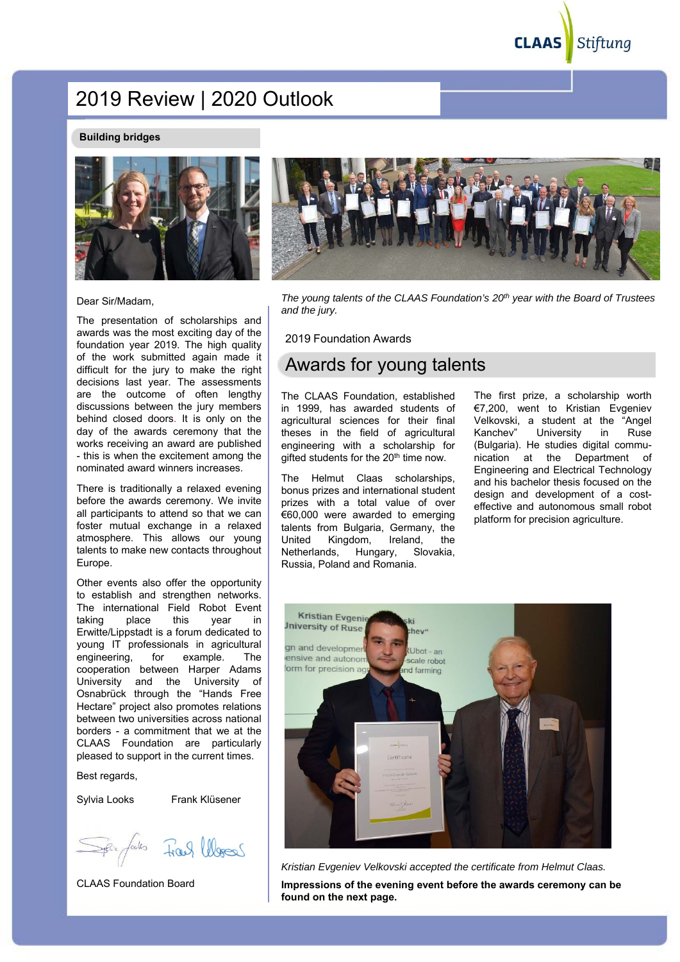**CLAAS** Stiftung

# 2019 Review | 2020 Outlook

#### **Building bridges**



Dear Sir/Madam,

The presentation of scholarships and awards was the most exciting day of the foundation year 2019. The high quality of the work submitted again made it difficult for the jury to make the right decisions last year. The assessments are the outcome of often lengthy discussions between the jury members behind closed doors. It is only on the day of the awards ceremony that the works receiving an award are published - this is when the excitement among the nominated award winners increases.

There is traditionally a relaxed evening before the awards ceremony. We invite all participants to attend so that we can foster mutual exchange in a relaxed atmosphere. This allows our young talents to make new contacts throughout Europe.

Other events also offer the opportunity to establish and strengthen networks. The international Field Robot Event taking place this year in Erwitte/Lippstadt is a forum dedicated to young IT professionals in agricultural engineering, for example. The cooperation between Harper Adams University and the University of Osnabrück through the "Hands Free Hectare" project also promotes relations between two universities across national borders - a commitment that we at the CLAAS Foundation are particularly pleased to support in the current times.

Best regards,

Sylvia Looks Frank Klüsener

Frank lebes

CLAAS Foundation Board



*The young talents of the CLAAS Foundation's 20th year with the Board of Trustees and the jury.*

2019 Foundation Awards

# Awards for young talents

The CLAAS Foundation, established in 1999, has awarded students of agricultural sciences for their final theses in the field of agricultural engineering with a scholarship for gifted students for the 20<sup>th</sup> time now.

The Helmut Claas scholarships, bonus prizes and international student prizes with a total value of over €60,000 were awarded to emerging talents from Bulgaria, Germany, the United Kingdom, Ireland, the Netherlands, Hungary, Slovakia, Russia, Poland and Romania.

The first prize, a scholarship worth €7,200, went to Kristian Evgeniev Velkovski, a student at the "Angel Kanchev" University in Ruse (Bulgaria). He studies digital communication at the Department of Engineering and Electrical Technology and his bachelor thesis focused on the design and development of a costeffective and autonomous small robot platform for precision agriculture.



*Kristian Evgeniev Velkovski accepted the certificate from Helmut Claas.* **Impressions of the evening event before the awards ceremony can be found on the next page.**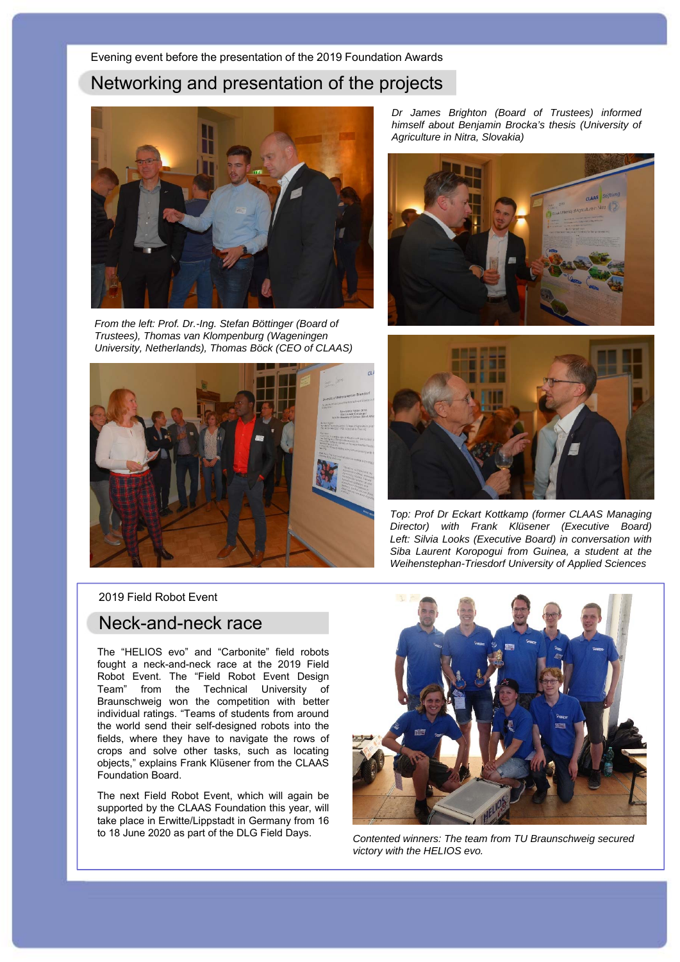# Networking and presentation of the projects



*From the left: Prof. Dr.-Ing. Stefan Böttinger (Board of Trustees), Thomas van Klompenburg (Wageningen University, Netherlands), Thomas Böck (CEO of CLAAS)*



*Dr James Brighton (Board of Trustees) informed himself about Benjamin Brocka's thesis (University of Agriculture in Nitra, Slovakia)*





*Top: Prof Dr Eckart Kottkamp (former CLAAS Managing Director) with Frank Klüsener (Executive Board) Left: Silvia Looks (Executive Board) in conversation with Siba Laurent Koropogui from Guinea, a student at the Weihenstephan-Triesdorf University of Applied Sciences*

2019 Field Robot Event

## Neck-and-neck race

The "HELIOS evo" and "Carbonite" field robots fought a neck-and-neck race at the 2019 Field Robot Event. The "Field Robot Event Design Team" from the Technical University of Braunschweig won the competition with better individual ratings. "Teams of students from around the world send their self-designed robots into the fields, where they have to navigate the rows of crops and solve other tasks, such as locating objects," explains Frank Klüsener from the CLAAS Foundation Board.

The next Field Robot Event, which will again be supported by the CLAAS Foundation this year, will take place in Erwitte/Lippstadt in Germany from 16 to 18 June 2020 as part of the DLG Field Days.



*Contented winners: The team from TU Braunschweig secured victory with the HELIOS evo.*